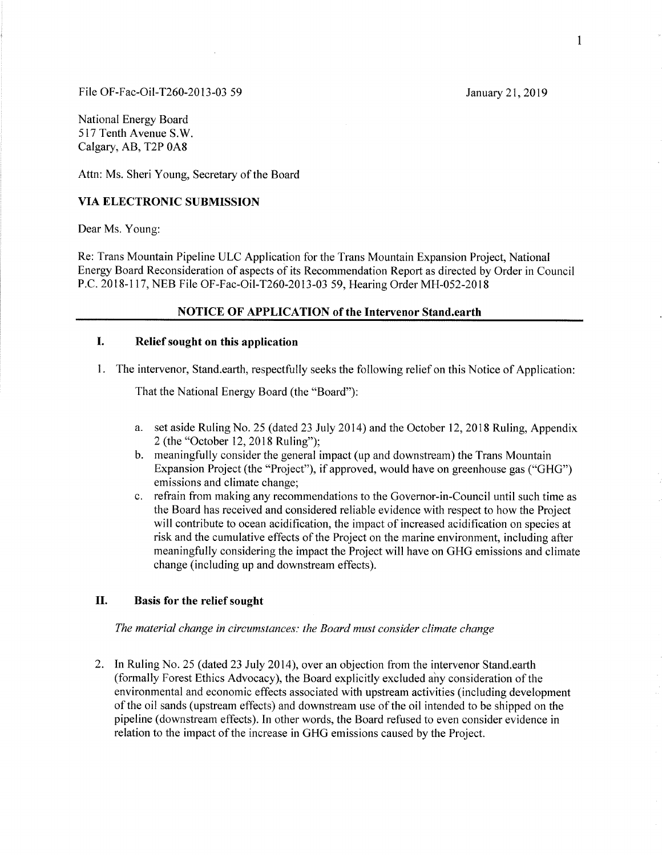#### File OF-Fac-Oil-T260-2013-03 59 January 21, 2019

National Energy Board 517 Tenth Avenue S.W. Calgary, AB, T2P 0A8

Attn: Ms. Sheri Young, Secretary of the Board

## VIA ELECTRONIC SUBMISSION

Dear Ms. Young

Re: Trans Mountain Pipeline ULC Application for the Trans Mountain Expansion Project, National Energy Board Reconsideration of aspects of its Recommendation Report as directed by Order in Council P.C. 2018-117, NEB File OF-Fac-Oil-T260-2013-03 59, Hearing Order MH-052-2018

### NOTICE OF APPLICATION of the Intervenor Stand.earth

# I. Relief sought on this application

The intervenor, Stand.earth, respectfully seeks the following relief on this Notice of Application:

That the National Energy Board (the "Board"):

- a. set aside Ruling No. 25 (dated 23 July 2014) and the October 12, 2018 Ruling, Appendix 2 (the "October 12,2018 Ruling");
- b. meaningfully consider the general impact (up and downstream) the Trans Mountain Expansion Project (the "Project"), if approved, would have on greenhouse gas ("GHG") emissions and climate change;
- c. refrain from making any recommendations to the Governor-in-Council until such time as the Board has received and considered reliable evidence with respect to how the Project will contribute to ocean acidification, the impact of increased acidification on species at risk and the cumulative effects of the Project on the marine environment, including after meaningfully considering the impact the Project will have on GHG emissions and climate change (including up and downstream effects).

# II. Basis for the relief sought

The material change in circumstances: the Board must consider climate change

2. In Ruling No. 25 (dated 23 luly 2014), over an objection from the intervenor Stand.earth (formally Forest Ethics Advocacy), the Board explicitly excluded ahy consideration of the environmental and economic effects associated with upstream activities (including development of the oil sands (upstream effects) and downstream use of the oil intended to be shipped on the pipeline (downstream effects). In other words, the Board refused to even consider evidence in relation to the impact of the increase in GHG emissions caused by the Project.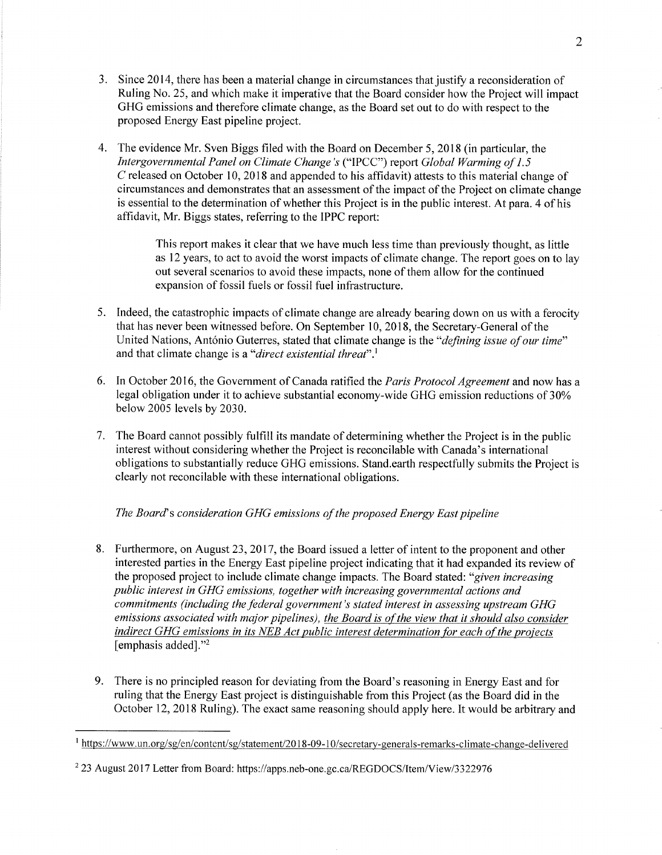- 3. Since 2014, there has been a material change in circumstances that justify a reconsideration of Ruling No. 25, and which make it imperative that the Board consider how the Project will impact GHG emissions and therefore climate change, as the Board set out to do with respect to the proposed Energy East pipeline project.
- 4. The evidence Mr. Sven Biggs filed with the Board on December 5,2018 (in particular, the Intergovernmental Panel on Climate Change's ("IPCC") report Global Warming of 1.5 C released on October 10, 2018 and appended to his affidavit) attests to this material change of circumstances and demonstrates that an assessment of the impact of the Project on climate change is essential to the determination of whether this Project is in the public interest. At para. 4 of his affidavit, Mr. Biggs states, referring to the IPPC report:

This report makes it clear that we have much less time than previously thought, as little as 12 years, to act to avoid the worst impacts of climate change. The report goes on to lay out several scenarios to avoid these impacts, none of them allow for the continued expansion of fossil fuels or fossil fuel infrastructure.

- 5. Indeed, the catastrophic impacts of climate change are already bearing down on us with a ferocity that has never been witnessed before. On September 10,2018, the Secretary-General of the United Nations, António Guterres, stated that climate change is the "defining issue of our time" and that climate change is a "*direct existential threat*".<sup>1</sup>
- 6. In October 2016, the Government of Canada ratified the *Paris Protocol Agreement* and now has a legal obligation under it to achieve substantial economy-wide GHG emission reductions of 30% below 2005 levels by 2030,
- 7. The Board cannot possibly fulfill its mandate of determining whether the Project is in the public interest without considering whether the Project is reconcilable with Canada's international obligations to substantially reduce GHG emissions. Stand.earth respectfully submits the Project is clearly not reconcilable with these international obligations.

# The Board's consideration GHG emissions of the proposed Energy East pipeline

- 8. Furthermore, on August 23, 2017, the Board issued a letter of intent to the proponent and other interested parties in the Energy East pipeline project indicating that it had expanded its review of the proposed project to include climate change impacts. The Board stated: "given increasing public interest in GHG emissions, together with increasing governmental actions and commitments (including the federal government's stated interest in assessing upstream GHG emissions associated with major pipelines), the Board is of the view that it should also consider indirect GHG emissions in its NEB Act public interest determination for each of the projects [emphasis added]."2
- 9. There is no principled reason for deviating from the Board's reasoning in Energy East and for ruling that the Energy East project is distinguishable from this Project (as the Board did in the October 12,2018 Ruling). The exact same reasoning should apply here. It would be arbitrary and

 $<sup>1</sup>$ https://www.un.org/sg/en/content/sg/statement/2018-09-10/secretary-generals-remarks-climate-change-delivered</sup>

<sup>&</sup>lt;sup>2</sup> 23 August 2017 Letter from Board: https://apps.neb-one.gc.ca/REGDOCS/Item/View/3322976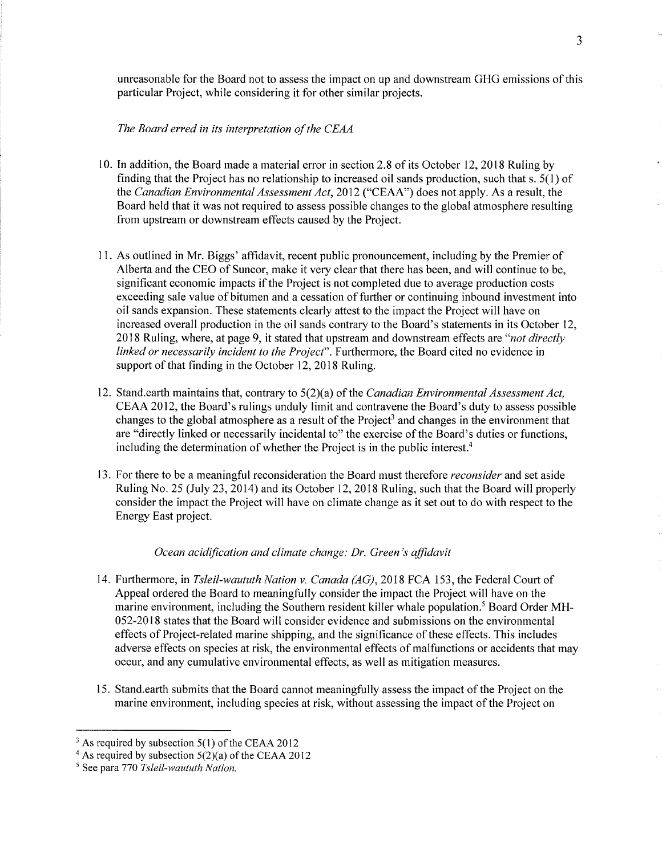unreasonable for the Board not to assess the impact on up and downstream GHG emissions of this particular Project, while considering it for other similar projects.

The Board erred in its interpretation of the CEAA

- 10. In addition, the Board made a material error in section 2.8 of its October 12,2018 Ruling by finding that the Project has no relationship to increased oil sands production, such that s. 5(1) of the Canadian Environmental Assessment Act, 2012 ("CEAA") does not apply. As a result, the Board held that it was not required to assess possible changes to the global atmosphere resulting from upstream or downstream effects caused by the Project.
- 11. As outlined in Mr. Biggs' affidavit, recent public pronouncement, including by the Premier of Alberta and the CEO of Suncor, make it very clear that there has been, and will continue to be, signifìcant economic impacts if the Project is not completed due to average production costs exceeding sale value of bitumen and a cessation of further or continuing inbound investment into oil sands expansion. These statements clearly attest to the impact the Project will have on increased overall production in the oil sands contrary to the Board's statements in its October 12, 2018 Ruling, where, at page 9, it stated that upstream and downstream effects are "not directly linked or necessarily incident to the Project". Furthermore, the Board cited no evidence in support of that finding in the October 12, 2018 Ruling.
- 12. Stand.earth maintains that, contrary to 5(2)(a) of the Canadian Environmental Assessment Act, CEAA 2012, the Board's rulings unduly limit and contravene the Board's duty to assess possible changes to the global atmosphere as a result of the Project<sup>3</sup> and changes in the environment that are "directly linked or necessarily incidental to" the exercise of the Board's duties or functions, including the determination of whether the Project is in the public interest.<sup>4</sup>
- 13. For there to be a meaningful reconsideration the Board must therefore *reconsider* and set aside Ruling No. 25 (July 23,2014) and its October 12,2018 Ruling, such that the Board will properly consider the impact the Project will have on climate change as it set out to do with respect to the Energy East project.

## Ocean acidification and climate change: Dr. Green's affidavit

- 14. Furthermore, in Tsleil-waututh Nation v. Canada (AG), 2018 FCA 153, the Federal Court of Appeal ordered the Board to meaningfully consider the impact the Project will have on the marine environment, including the Southern resident killer whale population.<sup>5</sup> Board Order MH-052-2018 states that the Board will consider evidence and submissions on the environmental effects of Project-related marine shipping, and the significance of these effects. This includes adverse effects on species at risk, the environmental effects of malfunctions or accidents that may occur, and any cumulative environmental effects, as well as mitigation measures.
- 15. Stand.earth submits that the Board cannot meaningfully assess the impact of the Project on the marine environment, including species at risk, without assessing the impact of the Project on

 $3$  As required by subsection 5(1) of the CEAA 2012

<sup>&</sup>lt;sup>4</sup> As required by subsection  $5(2)(a)$  of the CEAA 2012

 $<sup>5</sup>$  See para 770 Tsleil-waututh Nation.</sup>